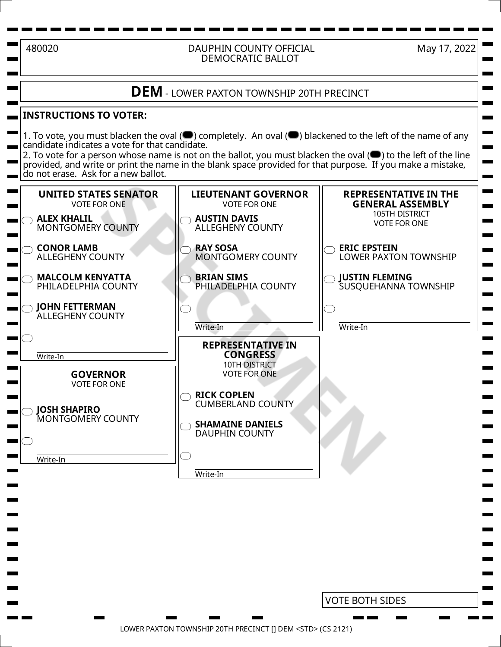## 480020 DAUPHIN COUNTY OFFICIAL DEMOCRATIC BALLOT

May 17, 2022

## **DEM** - LOWER PAXTON TOWNSHIP 20TH PRECINCT

## **INSTRUCTIONS TO VOTER:**

1. To vote, you must blacken the oval (●) completely. An oval (●) blackened to the left of the name of any candidate indicates a vote for that candidate.

2. To vote for a person whose name is not on the ballot, you must blacken the oval  $(\bullet)$  to the left of the line provided, and write or print the name in the blank space provided for that purpose. If you make a mistake, do not erase. Ask for a new ballot.



VOTE BOTH SIDES